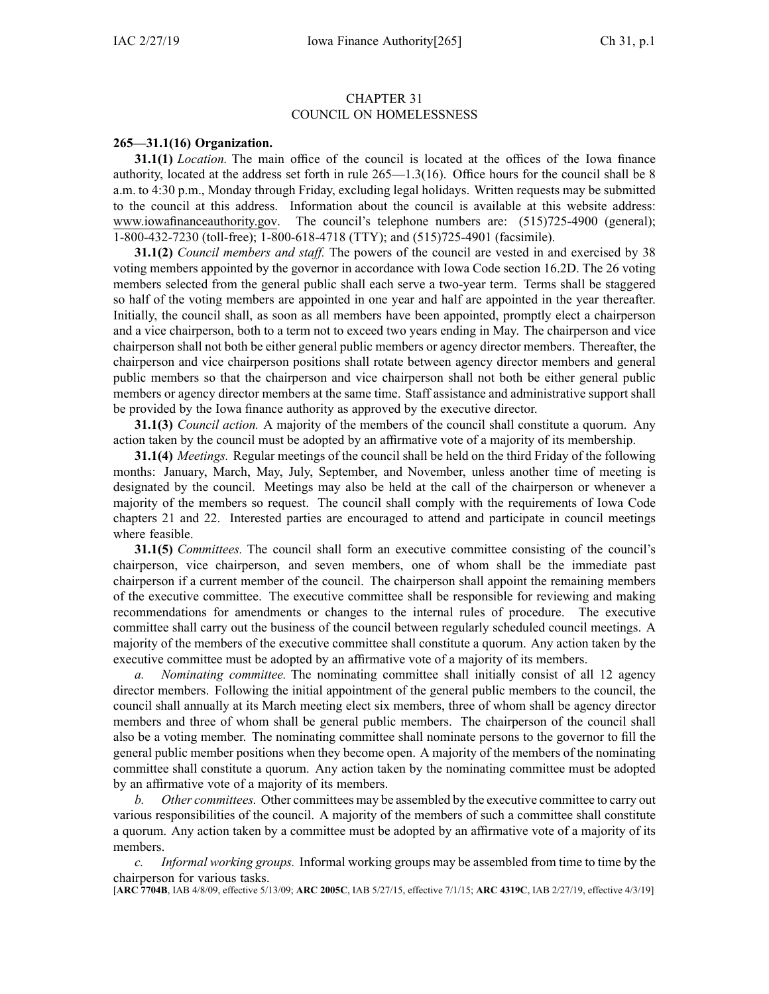## CHAPTER 31 COUNCIL ON HOMELESSNESS

## **265—31.1(16) Organization.**

**31.1(1)** *Location.* The main office of the council is located at the offices of the Iowa finance authority, located at the address set forth in rule 265—1.3(16). Office hours for the council shall be 8 a.m. to 4:30 p.m., Monday through Friday, excluding legal holidays. Written requests may be submitted to the council at this address. Information about the council is available at this website address: [www.iowafinanceauthority.gov](http://www.iowafinanceauthority.gov). The council's telephone numbers are: (515)725-4900 (general); 1-800-432-7230 (toll-free); 1-800-618-4718 (TTY); and (515)725-4901 (facsimile).

**31.1(2)** *Council members and staff.* The powers of the council are vested in and exercised by 38 voting members appointed by the governor in accordance with Iowa Code section [16.2D](https://www.legis.iowa.gov/docs/ico/section/16.2D.pdf). The 26 voting members selected from the general public shall each serve <sup>a</sup> two-year term. Terms shall be staggered so half of the voting members are appointed in one year and half are appointed in the year thereafter. Initially, the council shall, as soon as all members have been appointed, promptly elect <sup>a</sup> chairperson and <sup>a</sup> vice chairperson, both to <sup>a</sup> term not to exceed two years ending in May. The chairperson and vice chairperson shall not both be either general public members or agency director members. Thereafter, the chairperson and vice chairperson positions shall rotate between agency director members and general public members so that the chairperson and vice chairperson shall not both be either general public members or agency director members at the same time. Staff assistance and administrative suppor<sup>t</sup> shall be provided by the Iowa finance authority as approved by the executive director.

**31.1(3)** *Council action.* A majority of the members of the council shall constitute <sup>a</sup> quorum. Any action taken by the council must be adopted by an affirmative vote of <sup>a</sup> majority of its membership.

**31.1(4)** *Meetings.* Regular meetings of the council shall be held on the third Friday of the following months: January, March, May, July, September, and November, unless another time of meeting is designated by the council. Meetings may also be held at the call of the chairperson or whenever <sup>a</sup> majority of the members so request. The council shall comply with the requirements of Iowa Code chapters [21](https://www.legis.iowa.gov/docs/ico/chapter/21.pdf) and [22](https://www.legis.iowa.gov/docs/ico/chapter/22.pdf). Interested parties are encouraged to attend and participate in council meetings where feasible.

**31.1(5)** *Committees.* The council shall form an executive committee consisting of the council's chairperson, vice chairperson, and seven members, one of whom shall be the immediate pas<sup>t</sup> chairperson if <sup>a</sup> current member of the council. The chairperson shall appoint the remaining members of the executive committee. The executive committee shall be responsible for reviewing and making recommendations for amendments or changes to the internal rules of procedure. The executive committee shall carry out the business of the council between regularly scheduled council meetings. A majority of the members of the executive committee shall constitute <sup>a</sup> quorum. Any action taken by the executive committee must be adopted by an affirmative vote of <sup>a</sup> majority of its members.

*a. Nominating committee.* The nominating committee shall initially consist of all 12 agency director members. Following the initial appointment of the general public members to the council, the council shall annually at its March meeting elect six members, three of whom shall be agency director members and three of whom shall be general public members. The chairperson of the council shall also be <sup>a</sup> voting member. The nominating committee shall nominate persons to the governor to fill the general public member positions when they become open. A majority of the members of the nominating committee shall constitute <sup>a</sup> quorum. Any action taken by the nominating committee must be adopted by an affirmative vote of <sup>a</sup> majority of its members.

*b. Other committees.* Other committees may be assembled by the executive committee to carry out various responsibilities of the council. A majority of the members of such <sup>a</sup> committee shall constitute <sup>a</sup> quorum. Any action taken by <sup>a</sup> committee must be adopted by an affirmative vote of <sup>a</sup> majority of its members.

*c. Informal working groups.* Informal working groups may be assembled from time to time by the chairperson for various tasks.

[**ARC [7704B](https://www.legis.iowa.gov/docs/aco/arc/7704B.pdf)**, IAB 4/8/09, effective 5/13/09; **ARC [2005C](https://www.legis.iowa.gov/docs/aco/arc/2005C.pdf)**, IAB 5/27/15, effective 7/1/15; **ARC [4319C](https://www.legis.iowa.gov/docs/aco/arc/4319C.pdf)**, IAB 2/27/19, effective 4/3/19]